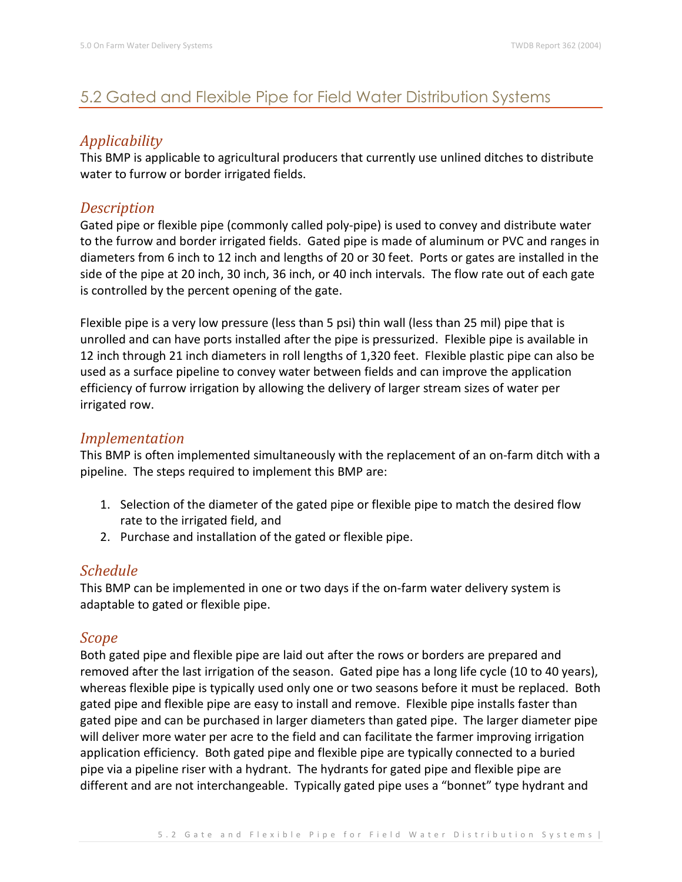# 5.2 Gated and Flexible Pipe for Field Water Distribution Systems

# *Applicability*

This BMP is applicable to agricultural producers that currently use unlined ditches to distribute water to furrow or border irrigated fields.

## *Description*

Gated pipe or flexible pipe (commonly called poly-pipe) is used to convey and distribute water to the furrow and border irrigated fields. Gated pipe is made of aluminum or PVC and ranges in diameters from 6 inch to 12 inch and lengths of 20 or 30 feet. Ports or gates are installed in the side of the pipe at 20 inch, 30 inch, 36 inch, or 40 inch intervals. The flow rate out of each gate is controlled by the percent opening of the gate.

Flexible pipe is a very low pressure (less than 5 psi) thin wall (less than 25 mil) pipe that is unrolled and can have ports installed after the pipe is pressurized. Flexible pipe is available in 12 inch through 21 inch diameters in roll lengths of 1,320 feet. Flexible plastic pipe can also be used as a surface pipeline to convey water between fields and can improve the application efficiency of furrow irrigation by allowing the delivery of larger stream sizes of water per irrigated row.

### *Implementation*

This BMP is often implemented simultaneously with the replacement of an on-farm ditch with a pipeline. The steps required to implement this BMP are:

- 1. Selection of the diameter of the gated pipe or flexible pipe to match the desired flow rate to the irrigated field, and
- 2. Purchase and installation of the gated or flexible pipe.

## *Schedule*

This BMP can be implemented in one or two days if the on-farm water delivery system is adaptable to gated or flexible pipe.

#### *Scope*

Both gated pipe and flexible pipe are laid out after the rows or borders are prepared and removed after the last irrigation of the season. Gated pipe has a long life cycle (10 to 40 years), whereas flexible pipe is typically used only one or two seasons before it must be replaced. Both gated pipe and flexible pipe are easy to install and remove. Flexible pipe installs faster than gated pipe and can be purchased in larger diameters than gated pipe. The larger diameter pipe will deliver more water per acre to the field and can facilitate the farmer improving irrigation application efficiency. Both gated pipe and flexible pipe are typically connected to a buried pipe via a pipeline riser with a hydrant. The hydrants for gated pipe and flexible pipe are different and are not interchangeable. Typically gated pipe uses a "bonnet" type hydrant and